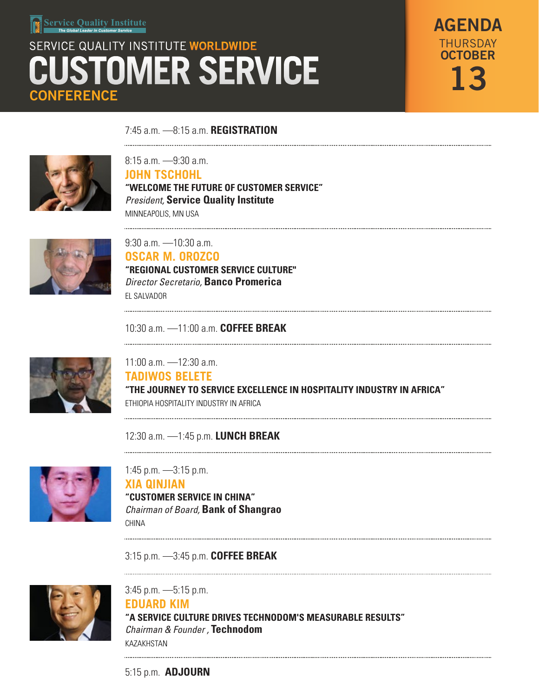# SERVICE QUALITY INSTITUTE WORLDWIDE **STOMER SERVICE CONFERENCE**

AGENDA **OCTOBER** 13 THURSDAY

7:45 a.m. —8:15 a.m. **REGISTRATION**  



8:15 a.m. —9:30 a.m. **JOHN TSCHOHL "WELCOME THE FUTURE OF CUSTOMER SERVICE"** *President,* **Service Quality Institute**  MINNEAPOLIS, MN USA



9:30 a.m. —10:30 a.m.

**OSCAR M. OROZCO "REGIONAL CUSTOMER SERVICE CULTURE"**

*Director Secretario,* **Banco Promerica** EL SALVADOR

10:30 a.m. —11:00 a.m. **COFFEE BREAK**



11:00 a.m. —12:30 a.m. **TADIWOS BELETE "THE JOURNEY TO SERVICE EXCELLENCE IN HOSPITALITY INDUSTRY IN AFRICA"** ETHIOPIA HOSPITALITY INDUSTRY IN AFRICA

12:30 a.m. —1:45 p.m. **LUNCH BREAK**



1:45 p.m. —3:15 p.m. **XIA QINJIAN "CUSTOMER SERVICE IN CHINA"** *Chairman of Board,* **Bank of Shangrao** CHINA

3:15 p.m. —3:45 p.m. **COFFEE BREAK** 



3:45 p.m. —5:15 p.m. **EDUARD KIM "A SERVICE CULTURE DRIVES TECHNODOM'S MEASURABLE RESULTS"** *Chairman & Founder ,* **Technodom**

5:15 p.m. **ADJOURN**

KAZAKHSTAN